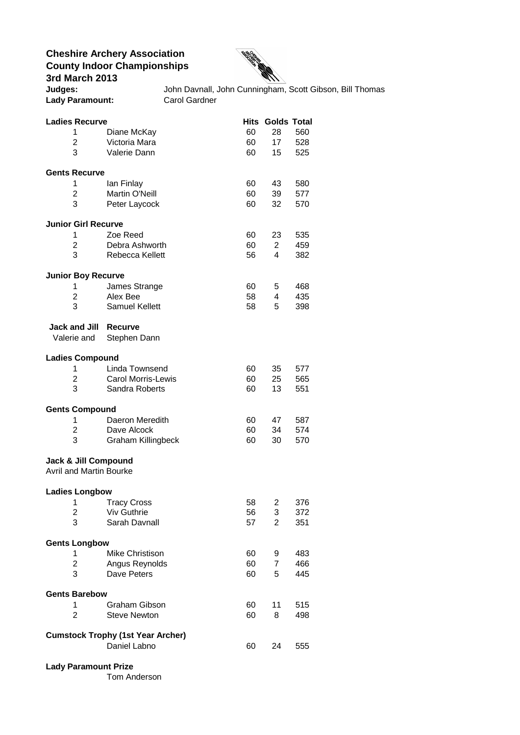**Cheshire Archery Association County Indoor Championships 3rd March 2013 Cheshire Archery Association<br>
<b>Judges:** John Davnall, John Cunningham, Scott Gibson, Bill Thomas<br>
John Davnall, John Cunningham, Scott Gibson, Bill Thomas



| <b>Lady Paramount:</b>                                                      | <b>Carol Gardner</b>                        |          |                                     |            |  |  |
|-----------------------------------------------------------------------------|---------------------------------------------|----------|-------------------------------------|------------|--|--|
| <b>Ladies Recurve</b><br>1<br>2                                             | Diane McKay<br>Victoria Mara                | 60<br>60 | <b>Hits Golds Total</b><br>28<br>17 | 560<br>528 |  |  |
| 3                                                                           | Valerie Dann                                | 60       | 15                                  | 525        |  |  |
| <b>Gents Recurve</b>                                                        |                                             |          |                                     |            |  |  |
| 1<br>2                                                                      | lan Finlay<br>Martin O'Neill                | 60<br>60 | 43<br>39                            | 580<br>577 |  |  |
| 3                                                                           | Peter Laycock                               | 60       | 32                                  | 570        |  |  |
| <b>Junior Girl Recurve</b>                                                  |                                             |          |                                     |            |  |  |
| 1                                                                           | Zoe Reed                                    | 60       | 23                                  | 535        |  |  |
| 2                                                                           | Debra Ashworth                              | 60       | $\overline{2}$                      | 459        |  |  |
| 3                                                                           | Rebecca Kellett                             | 56       | 4                                   | 382        |  |  |
| <b>Junior Boy Recurve</b>                                                   |                                             |          |                                     |            |  |  |
| 1<br>2                                                                      | James Strange<br>Alex Bee                   | 60<br>58 | 5<br>4                              | 468<br>435 |  |  |
| 3                                                                           | <b>Samuel Kellett</b>                       | 58       | 5                                   | 398        |  |  |
|                                                                             |                                             |          |                                     |            |  |  |
| <b>Jack and Jill</b><br>Valerie and                                         | Recurve<br>Stephen Dann                     |          |                                     |            |  |  |
| <b>Ladies Compound</b>                                                      |                                             |          |                                     |            |  |  |
| 1                                                                           | Linda Townsend                              | 60       | 35                                  | 577        |  |  |
| 2<br>3                                                                      | <b>Carol Morris-Lewis</b><br>Sandra Roberts | 60<br>60 | 25<br>13                            | 565<br>551 |  |  |
| <b>Gents Compound</b>                                                       |                                             |          |                                     |            |  |  |
| 1                                                                           | Daeron Meredith                             | 60       | 47                                  | 587        |  |  |
| 2<br>3                                                                      | Dave Alcock<br><b>Graham Killingbeck</b>    | 60<br>60 | 34<br>30                            | 574<br>570 |  |  |
|                                                                             |                                             |          |                                     |            |  |  |
| Jack & Jill Compound<br><b>Avril and Martin Bourke</b>                      |                                             |          |                                     |            |  |  |
| <b>Ladies Longbow</b>                                                       |                                             |          |                                     |            |  |  |
| 1                                                                           | <b>Tracy Cross</b>                          | 58       | 2                                   | 376        |  |  |
| 2<br>3                                                                      | <b>Viv Guthrie</b><br>Sarah Davnall         | 56<br>57 | 3<br>$\overline{2}$                 | 372<br>351 |  |  |
|                                                                             |                                             |          |                                     |            |  |  |
| <b>Gents Longbow</b>                                                        |                                             |          |                                     |            |  |  |
| 1<br>2                                                                      | <b>Mike Christison</b><br>Angus Reynolds    | 60<br>60 | 9<br>$\overline{7}$                 | 483<br>466 |  |  |
| 3                                                                           | Dave Peters                                 | 60       | 5                                   | 445        |  |  |
| <b>Gents Barebow</b>                                                        |                                             |          |                                     |            |  |  |
| 1                                                                           | <b>Graham Gibson</b>                        | 60       | 11                                  | 515        |  |  |
| 2                                                                           | <b>Steve Newton</b>                         | 60       | 8                                   | 498        |  |  |
| <b>Cumstock Trophy (1st Year Archer)</b><br>Daniel Labno<br>60<br>24<br>555 |                                             |          |                                     |            |  |  |
| <b>Lady Paramount Prize</b>                                                 |                                             |          |                                     |            |  |  |

Tom Anderson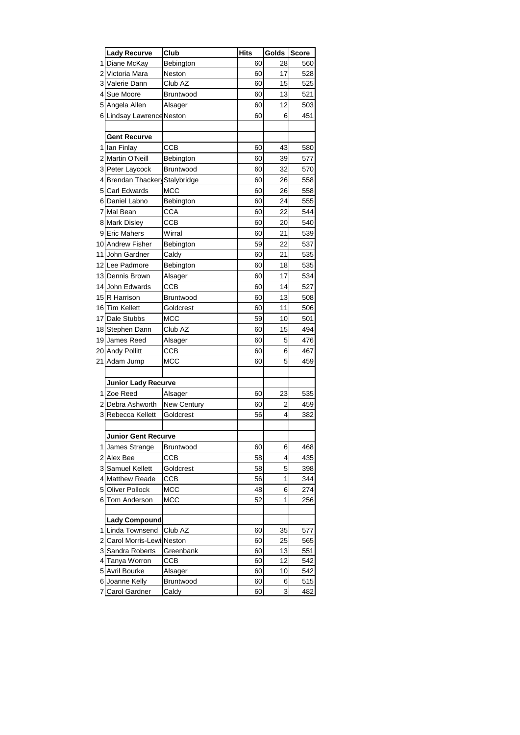|     | Lady Recurve               | Club        | Hits | Golds | <b>Score</b> |
|-----|----------------------------|-------------|------|-------|--------------|
| 1   | Diane McKay                | Bebington   | 60   | 28    | 560          |
| 2   | Victoria Mara              | Neston      | 60   | 17    | 528          |
| 3   | Valerie Dann               | Club AZ     | 60   | 15    | 525          |
| 4   | Sue Moore                  | Bruntwood   | 60   | 13    | 521          |
| 5   | Angela Allen               | Alsager     | 60   | 12    | 503          |
| 6   | Lindsay Lawrence           | Neston      | 60   | 6     | 451          |
|     |                            |             |      |       |              |
|     | Gent Recurve               |             |      |       |              |
| 1   | lan Finlay                 | ССВ         | 60   | 43    | 580          |
| 21  | Martin O'Neill             | Bebington   | 60   | 39    | 577          |
| 3   | Peter Laycock              | Bruntwood   | 60   | 32    | 570          |
| 4   | Brendan Thackery           | Stalybridge | 60   | 26    | 558          |
| 5   | Carl Edwards               | мсс         | 60   | 26    | 558          |
| 6   | Daniel Labno               | Bebington   | 60   | 24    | 555          |
| 7   | Mal Bean                   | CCA         | 60   | 22    | 544          |
|     | Mark Disley                | CCB         | 60   |       | 540          |
| 8   | <b>Eric Mahers</b>         |             |      | 20    |              |
| 9   |                            | Wirral      | 60   | 21    | 539          |
| 101 | <b>Andrew Fisher</b>       | Bebington   | 59   | 22    | 537          |
| 11  | John Gardner               | Caldy       | 60   | 21    | 535          |
| 12  | Lee Padmore                | Bebington   | 60   | 18    | 535          |
|     | 13 Dennis Brown            | Alsager     | 60   | 17    | 534          |
| 14  | John Edwards               | ССВ         | 60   | 14    | 527          |
| 15  | R Harrison                 | Bruntwood   | 60   | 13    | 508          |
| 16  | <b>Tim Kellett</b>         | Goldcrest   | 60   | 11    | 506          |
| 17  | Dale Stubbs                | мсс         | 59   | 10    | 501          |
| 18  | Stephen Dann               | Club AZ     | 60   | 15    | 494          |
| 19  | James Reed                 | Alsager     | 60   | 5     | 476          |
| 20  | <b>Andy Pollitt</b>        | CCB         | 60   | 6     | 467          |
| 21  | Adam Jump                  | мсс         | 60   | 5     | 459          |
|     |                            |             |      |       |              |
|     | <b>Junior Lady Recurve</b> |             |      |       |              |
| 1   | Zoe Reed                   | Alsager     | 60   | 23    | 535          |
| 2   | Debra Ashworth             | New Century | 60   | 2     | 459          |
| 3   | Rebecca Kellett            | Goldcrest   | 56   | 4     | 382          |
|     |                            |             |      |       |              |
|     | Junior Gent Recurve        |             |      |       |              |
| 1   | James Strange              | Bruntwood   | 60   | 6     | 468          |
| 2   | Alex Bee                   | <b>CCB</b>  | 58   | 4     | 435          |
| 3   | Samuel Kellett             | Goldcrest   | 58   | 5     | 398          |
| 4   | <b>Matthew Reade</b>       | CCB         | 56   | 1     | 344          |
| 5   | Oliver Pollock             | MCC         | 48   | 6     | 274          |
| 6   | Tom Anderson               | MCC         | 52   | 1     | 256          |
|     |                            |             |      |       |              |
|     | <b>Lady Compound</b>       |             |      |       |              |
| 1   | Linda Townsend             | Club AZ     | 60   | 35    | 577          |
| 2   | Carol Morris-Lewis         | Neston      | 60   | 25    | 565          |
| 3   | Sandra Roberts             | Greenbank   | 60   | 13    | 551          |
| 4   | Tanya Worron               | ССВ         | 60   | 12    | 542          |
| 5   | Avril Bourke               | Alsager     | 60   | 10    | 542          |
| 61  | Joanne Kelly               | Bruntwood   | 60   | 6     | 515          |
| 7   | Carol Gardner              | Caldy       | 60   | 3     | 482          |